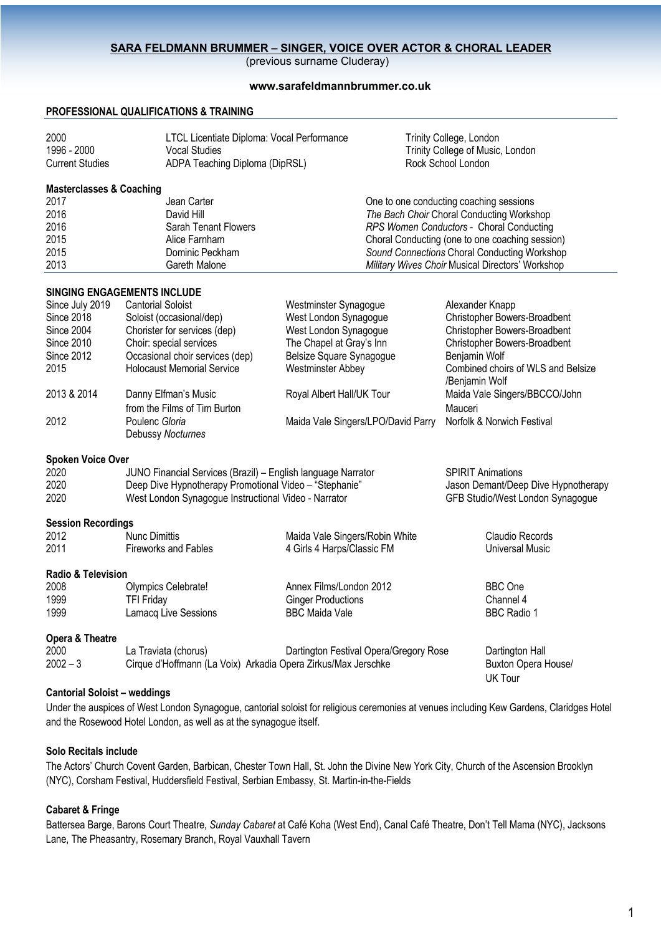### **SARA FELDMANN BRUMMER – SINGER, VOICE OVER ACTOR & CHORAL LEADER**

(previous surname Cluderay)

### **www.sarafeldmannbrummer.co.uk**

### **PROFESSIONAL QUALIFICATIONS & TRAINING**

| 2000                   | LTCL Licentiate Diploma: Vocal Performance | Trinity College, London          |
|------------------------|--------------------------------------------|----------------------------------|
| 1996 - 2000            | Vocal Studies                              | Trinity College of Music, London |
| <b>Current Studies</b> | ADPA Teaching Diploma (DipRSL)             | Rock School London               |

### **Masterclasses & Coaching**

| 2017 | Jean Carter          | One to one conducting coaching sessions          |
|------|----------------------|--------------------------------------------------|
| 2016 | David Hill           | The Bach Choir Choral Conducting Workshop        |
| 2016 | Sarah Tenant Flowers | RPS Women Conductors - Choral Conducting         |
| 2015 | Alice Farnham        | Choral Conducting (one to one coaching session)  |
| 2015 | Dominic Peckham      | Sound Connections Choral Conducting Workshop     |
| 2013 | Gareth Malone        | Military Wives Choir Musical Directors' Workshop |

# **SINGING ENGAGEMENTS INCLUDE**

| Since July 2019               | <b>Cantorial Soloist</b>                                                             | Westminster Synagogue                  | Alexander Knapp                     |                                    |  |
|-------------------------------|--------------------------------------------------------------------------------------|----------------------------------------|-------------------------------------|------------------------------------|--|
| <b>Since 2018</b>             | Soloist (occasional/dep)                                                             | West London Synagogue                  |                                     | Christopher Bowers-Broadbent       |  |
| Since 2004                    | Chorister for services (dep)                                                         | West London Synagogue                  |                                     | Christopher Bowers-Broadbent       |  |
| <b>Since 2010</b>             | Choir: special services                                                              | The Chapel at Gray's Inn               |                                     | Christopher Bowers-Broadbent       |  |
| <b>Since 2012</b>             | Occasional choir services (dep)                                                      | Belsize Square Synagogue               | Benjamin Wolf                       |                                    |  |
| 2015                          | <b>Holocaust Memorial Service</b>                                                    | <b>Westminster Abbey</b>               | /Benjamin Wolf                      | Combined choirs of WLS and Belsize |  |
| 2013 & 2014                   | Danny Elfman's Music                                                                 | Royal Albert Hall/UK Tour              |                                     | Maida Vale Singers/BBCCO/John      |  |
|                               | from the Films of Tim Burton                                                         |                                        | Mauceri                             |                                    |  |
| 2012                          | Poulenc Gloria<br>Debussy Nocturnes                                                  | Maida Vale Singers/LPO/David Parry     |                                     | Norfolk & Norwich Festival         |  |
| <b>Spoken Voice Over</b>      |                                                                                      |                                        |                                     |                                    |  |
| 2020                          | JUNO Financial Services (Brazil) - English language Narrator                         |                                        | <b>SPIRIT Animations</b>            |                                    |  |
| 2020                          | Deep Dive Hypnotherapy Promotional Video - "Stephanie"                               |                                        | Jason Demant/Deep Dive Hypnotherapy |                                    |  |
| 2020                          | West London Synagogue Instructional Video - Narrator                                 |                                        |                                     | GFB Studio/West London Synagogue   |  |
| <b>Session Recordings</b>     |                                                                                      |                                        |                                     |                                    |  |
| 2012                          | <b>Nunc Dimittis</b>                                                                 | Maida Vale Singers/Robin White         |                                     | Claudio Records                    |  |
| 2011                          | <b>Fireworks and Fables</b>                                                          | 4 Girls 4 Harps/Classic FM             |                                     | Universal Music                    |  |
| <b>Radio &amp; Television</b> |                                                                                      |                                        |                                     |                                    |  |
| 2008                          | Olympics Celebrate!                                                                  | Annex Films/London 2012                |                                     | <b>BBC</b> One                     |  |
| 1999                          | <b>TFI Friday</b>                                                                    | <b>Ginger Productions</b>              |                                     | Channel 4                          |  |
| 1999                          | Lamacq Live Sessions                                                                 | <b>BBC Maida Vale</b>                  |                                     | <b>BBC Radio 1</b>                 |  |
|                               |                                                                                      |                                        |                                     |                                    |  |
| Opera & Theatre               |                                                                                      |                                        |                                     |                                    |  |
| 2000                          | La Traviata (chorus)                                                                 | Dartington Festival Opera/Gregory Rose |                                     | Dartington Hall                    |  |
| $2002 - 3$                    | Cirque d'Hoffmann (La Voix) Arkadia Opera Zirkus/Max Jerschke<br>Buxton Opera House/ |                                        |                                     |                                    |  |
|                               |                                                                                      |                                        |                                     | <b>UK Tour</b>                     |  |
|                               |                                                                                      |                                        |                                     |                                    |  |

## **Cantorial Soloist – weddings**

Under the auspices of West London Synagogue, cantorial soloist for religious ceremonies at venues including Kew Gardens, Claridges Hotel and the Rosewood Hotel London, as well as at the synagogue itself.

## **Solo Recitals include**

The Actors' Church Covent Garden, Barbican, Chester Town Hall, St. John the Divine New York City, Church of the Ascension Brooklyn (NYC), Corsham Festival, Huddersfield Festival, Serbian Embassy, St. Martin-in-the-Fields

# **Cabaret & Fringe**

Battersea Barge, Barons Court Theatre, *Sunday Cabaret* at Café Koha (West End), Canal Café Theatre, Don't Tell Mama (NYC), Jacksons Lane, The Pheasantry, Rosemary Branch, Royal Vauxhall Tavern